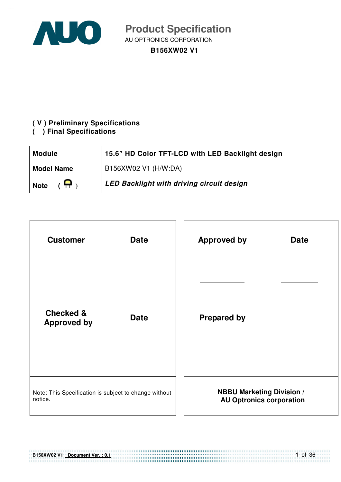

AU OPTRONICS CORPORATION

#### **B156XW02 V1**

### **( V ) Preliminary Specifications**

#### **( ) Final Specifications**

| <b>Module</b>                 | 15.6" HD Color TFT-LCD with LED Backlight design |  |  |
|-------------------------------|--------------------------------------------------|--|--|
| <b>Model Name</b>             | B156XW02 V1 (H/W:DA)                             |  |  |
| $\mathbf{P}$ ,<br><b>Note</b> | LED Backlight with driving circuit design        |  |  |

| <b>Customer</b>                                           | <b>Approved by</b>               |
|-----------------------------------------------------------|----------------------------------|
| <b>Date</b>                                               | <b>Date</b>                      |
| <b>Checked &amp;</b><br><b>Date</b><br><b>Approved by</b> | <b>Prepared by</b>               |
|                                                           |                                  |
| Note: This Specification is subject to change without     | <b>NBBU Marketing Division /</b> |
| notice.                                                   | <b>AU Optronics corporation</b>  |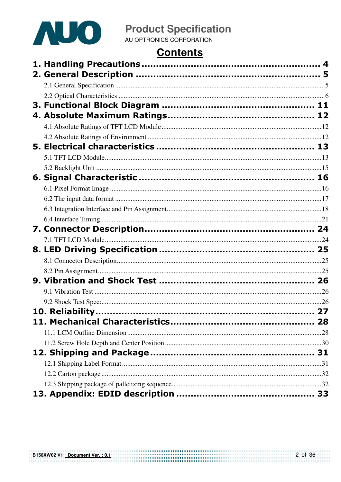

# **Contents**

| 10. Reliability |  |
|-----------------|--|
|                 |  |
|                 |  |
|                 |  |
|                 |  |
|                 |  |
|                 |  |
|                 |  |
|                 |  |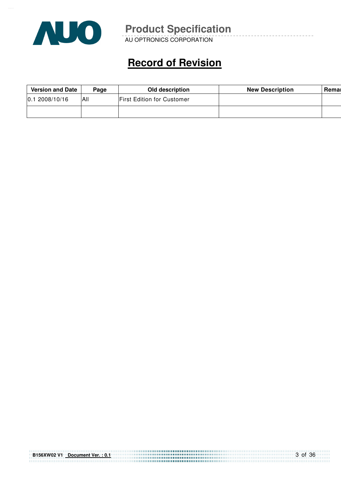

AU OPTRONICS CORPORATION

# **Record of Revision**

| <b>Version and Date</b><br>Page |            | Old description                   | <b>New Description</b> | Remar |
|---------------------------------|------------|-----------------------------------|------------------------|-------|
| 2008/10/16<br>10.1              | <b>AII</b> | <b>First Edition for Customer</b> |                        |       |
|                                 |            |                                   |                        |       |

| B156XW02 V1 Document Ver.: 0.1 |  |
|--------------------------------|--|
|                                |  |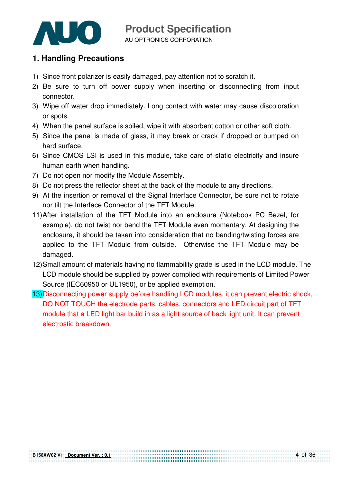

#### AU OPTRONICS CORPORATION

### **1. Handling Precautions**

- 1) Since front polarizer is easily damaged, pay attention not to scratch it.
- 2) Be sure to turn off power supply when inserting or disconnecting from input connector.
- 3) Wipe off water drop immediately. Long contact with water may cause discoloration or spots.
- 4) When the panel surface is soiled, wipe it with absorbent cotton or other soft cloth.
- 5) Since the panel is made of glass, it may break or crack if dropped or bumped on hard surface.
- 6) Since CMOS LSI is used in this module, take care of static electricity and insure human earth when handling.
- 7) Do not open nor modify the Module Assembly.
- 8) Do not press the reflector sheet at the back of the module to any directions.
- 9) At the insertion or removal of the Signal Interface Connector, be sure not to rotate nor tilt the Interface Connector of the TFT Module.
- 11) After installation of the TFT Module into an enclosure (Notebook PC Bezel, for example), do not twist nor bend the TFT Module even momentary. At designing the enclosure, it should be taken into consideration that no bending/twisting forces are applied to the TFT Module from outside. Otherwise the TFT Module may be damaged.
- 12) Small amount of materials having no flammability grade is used in the LCD module. The LCD module should be supplied by power complied with requirements of Limited Power Source (IEC60950 or UL1950), or be applied exemption.
- 13) Disconnecting power supply before handling LCD modules, it can prevent electric shock, DO NOT TOUCH the electrode parts, cables, connectors and LED circuit part of TFT module that a LED light bar build in as a light source of back light unit. It can prevent electrostic breakdown.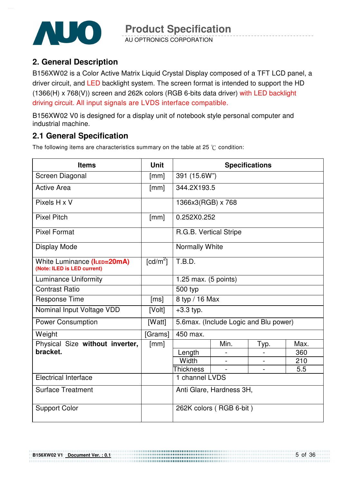

AU OPTRONICS CORPORATION

### **2. General Description**

B156XW02 is a Color Active Matrix Liquid Crystal Display composed of a TFT LCD panel, a driver circuit, and LED backlight system. The screen format is intended to support the HD (1366(H) x 768(V)) screen and 262k colors (RGB 6-bits data driver) with LED backlight driving circuit. All input signals are LVDS interface compatible.

B156XW02 V0 is designed for a display unit of notebook style personal computer and industrial machine.

## **2.1 General Specification**

The following items are characteristics summary on the table at 25  $\degree$ C condition:

| <b>Items</b>                                               | <b>Unit</b>                    |                                        |      | <b>Specifications</b> |      |
|------------------------------------------------------------|--------------------------------|----------------------------------------|------|-----------------------|------|
| Screen Diagonal                                            | [mm]                           | 391 (15.6W")                           |      |                       |      |
| <b>Active Area</b>                                         | [mm]                           | 344.2X193.5                            |      |                       |      |
| Pixels H x V                                               |                                | 1366x3(RGB) x 768                      |      |                       |      |
| <b>Pixel Pitch</b>                                         | [mm]                           | 0.252X0.252                            |      |                       |      |
| <b>Pixel Format</b>                                        |                                | R.G.B. Vertical Stripe                 |      |                       |      |
| Display Mode                                               |                                | Normally White                         |      |                       |      |
| White Luminance (ILED=20mA)<br>(Note: ILED is LED current) | $\lceil cd/m^2 \rceil$         | T.B.D.                                 |      |                       |      |
| <b>Luminance Uniformity</b>                                | 1.25 max. $(5 \text{ points})$ |                                        |      |                       |      |
| <b>Contrast Ratio</b>                                      |                                | 500 typ                                |      |                       |      |
| <b>Response Time</b>                                       | [ms]                           | 8 typ / 16 Max                         |      |                       |      |
| Nominal Input Voltage VDD                                  | [Volt]                         | $+3.3$ typ.                            |      |                       |      |
| <b>Power Consumption</b>                                   | [Watt]                         | 5.6 max. (Include Logic and Blu power) |      |                       |      |
| Weight                                                     | [Grams]                        | 450 max.                               |      |                       |      |
| Physical Size without inverter,                            | [mm]                           |                                        | Min. | Typ.                  | Max. |
| bracket.                                                   |                                | Length                                 |      |                       | 360  |
|                                                            |                                | Width                                  |      |                       | 210  |
|                                                            |                                | <b>Thickness</b>                       |      |                       | 5.5  |
| <b>Electrical Interface</b>                                |                                | 1 channel LVDS                         |      |                       |      |
| <b>Surface Treatment</b>                                   |                                | Anti Glare, Hardness 3H,               |      |                       |      |
| <b>Support Color</b>                                       |                                | 262K colors (RGB 6-bit)                |      |                       |      |

,,,,,,,,,,,,,,,,,,,,,,,,,,,,,,,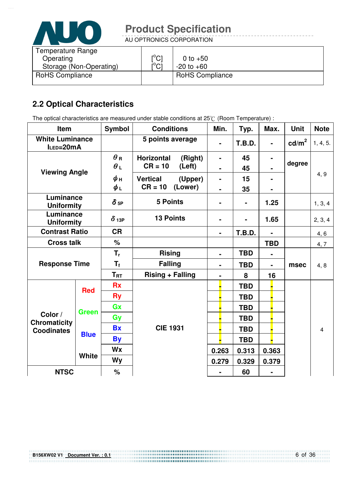

AU OPTRONICS CORPORATION

| Temperature Range       |                               |                        |
|-------------------------|-------------------------------|------------------------|
| Operating               | $\mathsf{I}^\circ\mathsf{Cl}$ | 0 to $+50$             |
| Storage (Non-Operating) | $\mathsf{I}^\circ\mathsf{Cl}$ | $-20$ to $+60$         |
| <b>RoHS Compliance</b>  |                               | <b>RoHS Compliance</b> |

# **2.2 Optical Characteristics**

The optical characteristics are measured under stable conditions at 25°C (Room Temperature) :

| Item                                  |              | <b>Symbol</b>          | <b>Conditions</b>            | Min.           | Typ.           | Max.           | <b>Unit</b>     | <b>Note</b>    |
|---------------------------------------|--------------|------------------------|------------------------------|----------------|----------------|----------------|-----------------|----------------|
| <b>White Luminance</b><br>$ILED=20mA$ |              |                        | 5 points average             |                | <b>T.B.D.</b>  |                | $\text{cd/m}^2$ | 1, 4, 5.       |
|                                       |              | $\theta$ R             | <b>Horizontal</b><br>(Right) | $\blacksquare$ | 45             |                |                 |                |
| <b>Viewing Angle</b>                  |              | $\theta$ L             | $CR = 10$<br>(Left)          | $\blacksquare$ | 45             |                | degree          |                |
|                                       |              | $\phi$ н               | <b>Vertical</b><br>(Upper)   | $\blacksquare$ | 15             |                |                 | 4, 9           |
|                                       |              | ψL                     | $CR = 10$<br>(Lower)         |                | 35             |                |                 |                |
| Luminance<br><b>Uniformity</b>        |              | $\delta$ <sub>5P</sub> | <b>5 Points</b>              |                | $\blacksquare$ | 1.25           |                 | 1, 3, 4        |
| Luminance<br><b>Uniformity</b>        |              | $\delta$ 13P           | <b>13 Points</b>             | ۰              | $\blacksquare$ | 1.65           |                 | 2, 3, 4        |
| <b>Contrast Ratio</b>                 |              | <b>CR</b>              |                              | $\blacksquare$ | <b>T.B.D.</b>  | $\blacksquare$ |                 | 4, 6           |
| <b>Cross talk</b>                     |              | $\%$                   |                              |                |                | <b>TBD</b>     |                 | 4, 7           |
|                                       |              | $T_r$                  | <b>Rising</b>                | $\blacksquare$ | <b>TBD</b>     |                |                 |                |
| <b>Response Time</b>                  |              | $T_{\rm f}$            | <b>Falling</b>               | $\blacksquare$ | <b>TBD</b>     | $\blacksquare$ | msec            | 4, 8           |
|                                       |              | $T_{\rm RT}$           | <b>Rising + Falling</b>      | $\blacksquare$ | 8              | 16             |                 |                |
|                                       | <b>Red</b>   | <b>Rx</b>              |                              |                | <b>TBD</b>     |                |                 |                |
|                                       |              | <b>Ry</b>              |                              |                | <b>TBD</b>     |                |                 |                |
|                                       | <b>Green</b> | Gx                     |                              |                | <b>TBD</b>     |                |                 |                |
| Color /<br><b>Chromaticity</b>        |              | Gy                     |                              |                | <b>TBD</b>     |                |                 |                |
| <b>Coodinates</b>                     |              | <b>Bx</b>              | <b>CIE 1931</b>              |                | <b>TBD</b>     |                |                 | $\overline{4}$ |
|                                       | <b>Blue</b>  | <b>By</b>              |                              |                | <b>TBD</b>     |                |                 |                |
|                                       |              | Wx                     |                              | 0.263          | 0.313          | 0.363          |                 |                |
|                                       | <b>White</b> | <b>Wy</b>              |                              | 0.279          | 0.329          | 0.379          |                 |                |
| <b>NTSC</b>                           |              | $\%$                   |                              |                | 60             |                |                 |                |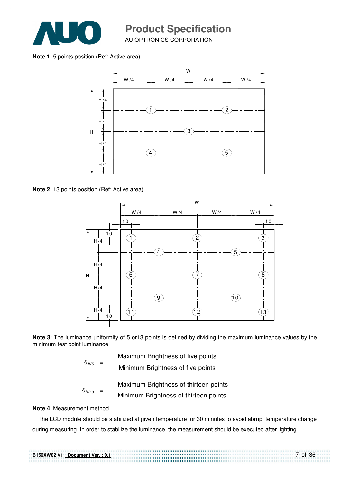

AU OPTRONICS CORPORATION

**Note 1**: 5 points position (Ref: Active area)



**Note 2**: 13 points position (Ref: Active area)



**Note 3**: The luminance uniformity of 5 or13 points is defined by dividing the maximum luminance values by the minimum test point luminance

| $\delta$ W <sub>5</sub> | Maximum Brightness of five points     |
|-------------------------|---------------------------------------|
|                         | Minimum Brightness of five points     |
|                         |                                       |
| $\delta$ W13            | Maximum Brightness of thirteen points |

#### **Note 4**: Measurement method

The LCD module should be stabilized at given temperature for 30 minutes to avoid abrupt temperature change during measuring. In order to stabilize the luminance, the measurement should be executed after lighting

..................................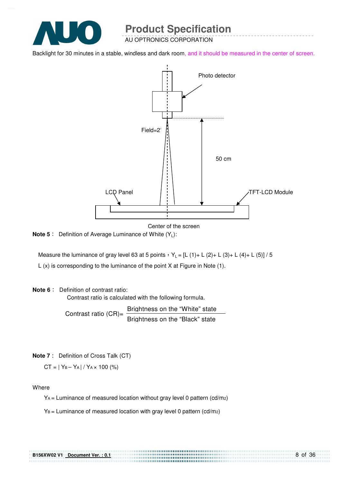

AU OPTRONICS CORPORATION

Backlight for 30 minutes in a stable, windless and dark room, and it should be measured in the center of screen.



Center of the screen

...........................

**Note 5** : Definition of Average Luminance of White (Y<sub>L</sub>):

Measure the luminance of gray level 63 at 5 points  $Y_L = [L (1) + L (2) + L (3) + L (4) + L (5)] / 5$ L (x) is corresponding to the luminance of the point X at Figure in Note (1).

**Note 6** : Definition of contrast ratio:

Contrast ratio is calculated with the following formula.

Contrast ratio  $(CR)$ = Brightness on the "White" state Brightness on the "Black" state

**Note 7** : Definition of Cross Talk (CT)

 $CT = |Y_B - Y_A| / Y_A \times 100$  (%)

Where

 $Y_A$  = Luminance of measured location without gray level 0 pattern (cd/m<sub>2</sub>)

 $Y_B =$  Luminance of measured location with gray level 0 pattern (cd/m2)

| <b>B156XW02 V1</b> | Document Ver.: 0.1 |
|--------------------|--------------------|
|                    |                    |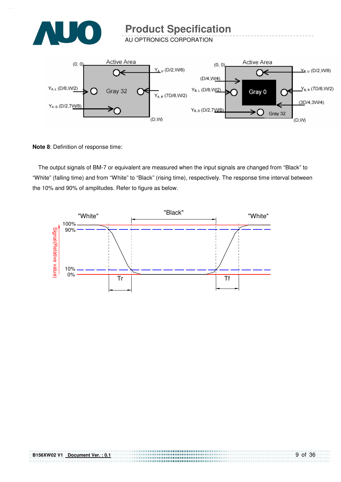

AU OPTRONICS CORPORATION



**Note 8**: Definition of response time:

The output signals of BM-7 or equivalent are measured when the input signals are changed from "Black" to "White" (falling time) and from "White" to "Black" (rising time), respectively. The response time interval between the 10% and 90% of amplitudes. Refer to figure as below.



,,,,,,,,,,,,,,,,,,,,,,,,,,,,,,,,,,,,,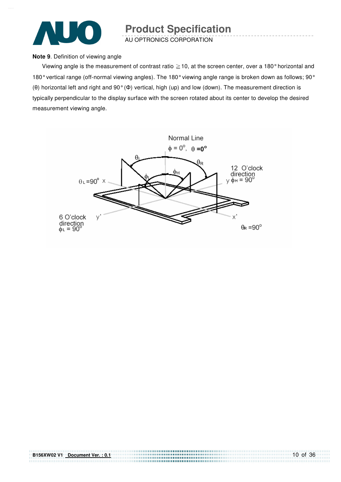

AU OPTRONICS CORPORATION

#### **Note 9**. Definition of viewing angle

Viewing angle is the measurement of contrast ratio  $\geq$  10, at the screen center, over a 180° horizontal and 180° vertical range (off-normal viewing angles). The 180° viewing angle range is broken down as follows; 90° (θ) horizontal left and right and 90° (Φ) vertical, high (up) and low (down). The measurement direction is typically perpendicular to the display surface with the screen rotated about its center to develop the desired measurement viewing angle.



,,,,,,,,,,,,,,,,,,,,,,,,,,,,,,,,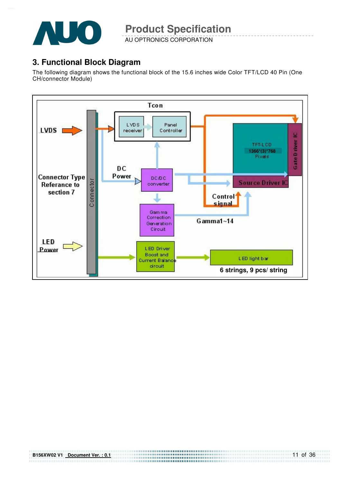

AU OPTRONICS CORPORATION

### **3. Functional Block Diagram**

The following diagram shows the functional block of the 15.6 inches wide Color TFT/LCD 40 Pin (One CH/connector Module)

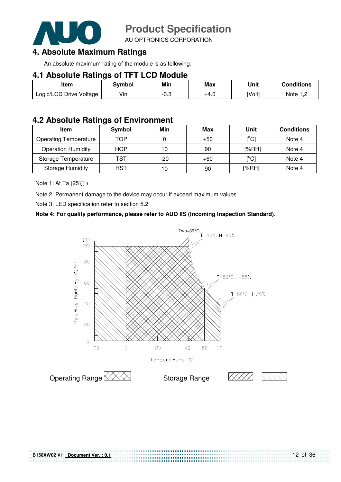

AU OPTRONICS CORPORATION

### **4. Absolute Maximum Ratings**

An absolute maximum rating of the module is as following:

#### **4.1 Absolute Ratings of TFT LCD Module**

| Item                    | Svmbol | Min    | <b>Max</b> | Unit   | <b>Conditions</b> |
|-------------------------|--------|--------|------------|--------|-------------------|
| Logic/LCD Drive Voltage | Vin    | $-0.3$ | +4.0       | [Volt] | Note $1,2$        |

### **4.2 Absolute Ratings of Environment**

| <b>Item</b>                  | Symbol     | Min   | Max   | Unit                                    | <b>Conditions</b> |
|------------------------------|------------|-------|-------|-----------------------------------------|-------------------|
| <b>Operating Temperature</b> | TOP        |       | $+50$ | [°C]                                    | Note 4            |
| <b>Operation Humidity</b>    | <b>HOP</b> | 10    | 90    | [%RH]                                   | Note 4            |
| Storage Temperature          | TST        | $-20$ | $+60$ | $\mathsf{I}^\circ\mathsf{C} \mathsf{I}$ | Note 4            |
| <b>Storage Humidity</b>      | HST        | 10    | 90    | [%RH]                                   | Note 4            |

Note 1: At Ta  $(25^{\circ}\text{C})$ 

Note 2: Permanent damage to the device may occur if exceed maximum values

Note 3: LED specification refer to section 5.2

#### **Note 4: For quality performance, please refer to AUO IIS (Incoming Inspection Standard)**.

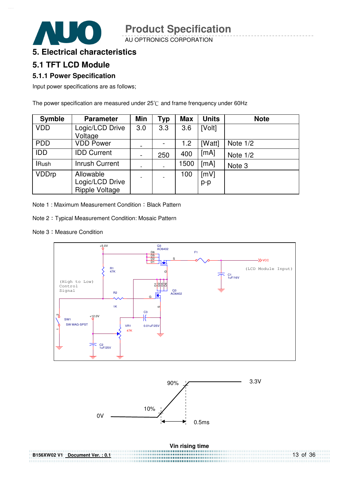AU OPTRONICS CORPORATION



### **5.1 TFT LCD Module**

#### **5.1.1 Power Specification**

Input power specifications are as follows;

The power specification are measured under  $25^{\circ}$ C and frame frenquency under 60Hz

| <b>Symble</b> | <b>Parameter</b>                                      | Min                      | Typ | <b>Max</b> | <b>Units</b>  | <b>Note</b> |
|---------------|-------------------------------------------------------|--------------------------|-----|------------|---------------|-------------|
| <b>VDD</b>    | Logic/LCD Drive<br>Voltage                            | 3.0                      | 3.3 | 3.6        | [Volt]        |             |
| <b>PDD</b>    | <b>VDD Power</b>                                      | $\overline{\phantom{0}}$ |     | 1.2        | [Watt]        | Note $1/2$  |
| <b>IDD</b>    | <b>IDD Current</b>                                    | $\overline{\phantom{a}}$ | 250 | 400        | [mA]          | Note $1/2$  |
| <b>IRush</b>  | Inrush Current                                        |                          |     | 1500       | [mA]          | Note 3      |
| <b>VDDrp</b>  | Allowable<br>Logic/LCD Drive<br><b>Ripple Voltage</b> | ٠                        |     | 100        | [mV]<br>$p-p$ |             |

Note 1 : Maximum Measurement Condition : Black Pattern

- Note 2 Typical Measurement Condition: Mosaic Pattern
- Note 3: Measure Condition



| B156XW02 V1 Document Ver.: 0.1 | 13 of 36 |
|--------------------------------|----------|
|                                |          |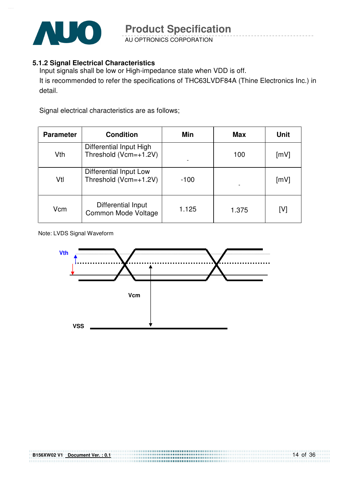

AU OPTRONICS CORPORATION

#### **5.1.2 Signal Electrical Characteristics**

Input signals shall be low or High-impedance state when VDD is off. It is recommended to refer the specifications of THC63LVDF84A (Thine Electronics Inc.) in detail.

Signal electrical characteristics are as follows;

| <b>Parameter</b> | <b>Condition</b>                                 | Min    | Max   | <b>Unit</b> |
|------------------|--------------------------------------------------|--------|-------|-------------|
| Vth              | Differential Input High<br>Threshold (Vcm=+1.2V) |        | 100   | [mV]        |
| Vtl              | Differential Input Low<br>Threshold (Vcm=+1.2V)  | $-100$ |       | [mV]        |
| Vcm              | Differential Input<br>Common Mode Voltage        | 1.125  | 1.375 | [V]         |

#### Note: LVDS Signal Waveform



,,,,,,,,,,,,,,,,,,,,,,,,,,,,,,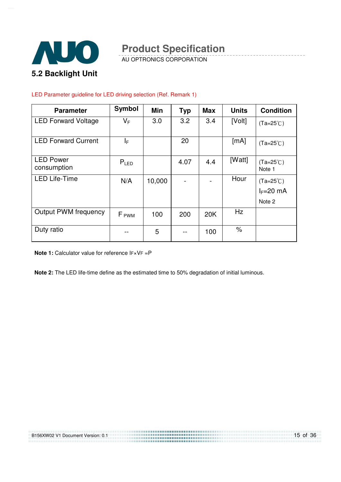

AU OPTRONICS CORPORATION

#### LED Parameter guideline for LED driving selection (Ref. Remark 1)

| <b>Parameter</b>                | <b>Symbol</b>    | Min    | <b>Typ</b> | <b>Max</b> | <b>Units</b> | <b>Condition</b>                  |
|---------------------------------|------------------|--------|------------|------------|--------------|-----------------------------------|
| <b>LED Forward Voltage</b>      | $V_F$            | 3.0    | 3.2        | 3.4        | [Volt]       | $(Ta=25^{\circ}C)$                |
| <b>LED Forward Current</b>      | ΙF               |        | 20         |            | [mA]         | $(Ta=25^{\circ}C)$                |
| <b>LED Power</b><br>consumption | $P_{LED}$        |        | 4.07       | 4.4        | [Watt]       | $(Ta=25^{\circ}C)$<br>Note 1      |
| <b>LED Life-Time</b>            | N/A              | 10,000 |            |            | Hour         | $(Ta=25^{\circ}C)$<br>$I_F=20$ mA |
|                                 |                  |        |            |            |              | Note 2                            |
| <b>Output PWM frequency</b>     | F <sub>PWM</sub> | 100    | 200        | 20K        | Hz           |                                   |
| Duty ratio                      |                  | 5      |            | 100        | $\%$         |                                   |

**Note 1:** Calculator value for reference IF×VF =P

**Note 2:** The LED life-time define as the estimated time to 50% degradation of initial luminous.

B156XW02 V1 Document Version: 0.1

15 of 36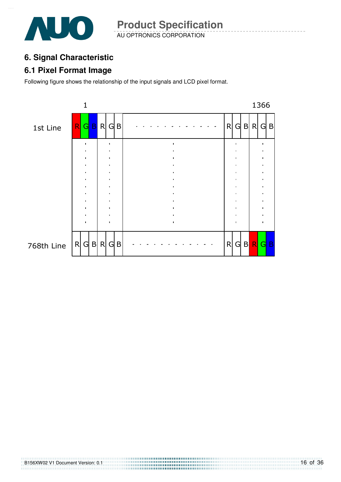

AU OPTRONICS CORPORATION **Product Specification** 

# **6. Signal Characteristic**

### **6.1 Pixel Format Image**

Following figure shows the relationship of the input signals and LCD pixel format.

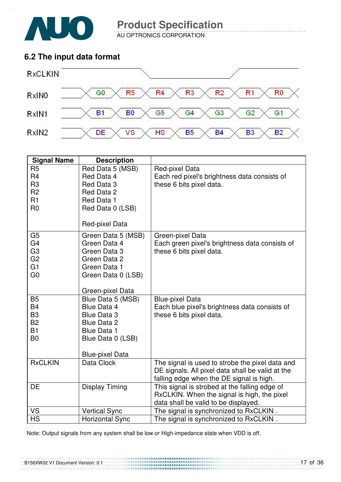

AU OPTRONICS CORPORATION

### **6.2 The input data format**



| <b>Signal Name</b>                                                                                       | <b>Description</b>                                                                                                                  |                                                                                                                                                 |
|----------------------------------------------------------------------------------------------------------|-------------------------------------------------------------------------------------------------------------------------------------|-------------------------------------------------------------------------------------------------------------------------------------------------|
| R <sub>5</sub><br>R <sub>4</sub><br>R <sub>3</sub><br>R <sub>2</sub><br>R1<br>R <sub>0</sub>             | Red Data 5 (MSB)<br>Red Data 4<br>Red Data 3<br>Red Data 2<br>Red Data 1<br>Red Data 0 (LSB)<br>Red-pixel Data                      | Red-pixel Data<br>Each red pixel's brightness data consists of<br>these 6 bits pixel data.                                                      |
| G <sub>5</sub><br>G <sub>4</sub><br>G <sub>3</sub><br>G <sub>2</sub><br>G <sub>1</sub><br>G <sub>0</sub> | Green Data 5 (MSB)<br>Green Data 4<br>Green Data 3<br>Green Data 2<br>Green Data 1<br>Green Data 0 (LSB)<br>Green-pixel Data        | Green-pixel Data<br>Each green pixel's brightness data consists of<br>these 6 bits pixel data.                                                  |
| <b>B5</b><br><b>B4</b><br>B <sub>3</sub><br><b>B2</b><br>B1<br>B <sub>0</sub>                            | Blue Data 5 (MSB)<br>Blue Data 4<br>Blue Data 3<br>Blue Data 2<br><b>Blue Data 1</b><br>Blue Data 0 (LSB)<br><b>Blue-pixel Data</b> | <b>Blue-pixel Data</b><br>Each blue pixel's brightness data consists of<br>these 6 bits pixel data.                                             |
| <b>RxCLKIN</b>                                                                                           | Data Clock                                                                                                                          | The signal is used to strobe the pixel data and<br>DE signals. All pixel data shall be valid at the<br>falling edge when the DE signal is high. |
| DE                                                                                                       | <b>Display Timing</b>                                                                                                               | This signal is strobed at the falling edge of<br>RxCLKIN. When the signal is high, the pixel<br>data shall be valid to be displayed.            |
| VS                                                                                                       | <b>Vertical Sync</b>                                                                                                                | The signal is synchronized to RxCLKIN.                                                                                                          |
| <b>HS</b>                                                                                                | <b>Horizontal Sync</b>                                                                                                              | The signal is synchronized to RxCLKIN.                                                                                                          |

Note: Output signals from any system shall be low or High-impedance state when VDD is off.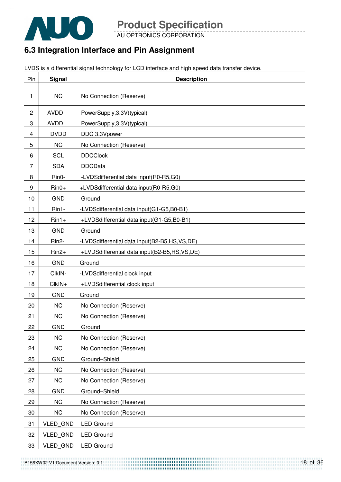

AU OPTRONICS CORPORATION

# **6.3 Integration Interface and Pin Assignment**

LVDS is a differential signal technology for LCD interface and high speed data transfer device.

| Pin            | Signal             | <b>Description</b>                            |
|----------------|--------------------|-----------------------------------------------|
| 1              | <b>NC</b>          | No Connection (Reserve)                       |
| $\overline{c}$ | <b>AVDD</b>        | PowerSupply, 3.3V(typical)                    |
| 3              | <b>AVDD</b>        | PowerSupply, 3.3V(typical)                    |
| 4              | <b>DVDD</b>        | DDC 3.3Vpower                                 |
| 5              | <b>NC</b>          | No Connection (Reserve)                       |
| 6              | <b>SCL</b>         | <b>DDCClock</b>                               |
| 7              | <b>SDA</b>         | <b>DDCData</b>                                |
| 8              | Rin0-              | -LVDSdifferential data input(R0-R5,G0)        |
| 9              | $Rin0+$            | +LVDSdifferential data input(R0-R5,G0)        |
| 10             | <b>GND</b>         | Ground                                        |
| 11             | Rin1-              | -LVDSdifferential data input(G1-G5,B0-B1)     |
| 12             | $Rin1+$            | +LVDSdifferential data input(G1-G5,B0-B1)     |
| 13             | <b>GND</b>         | Ground                                        |
| 14             | Rin <sub>2</sub> - | -LVDSdifferential data input(B2-B5,HS,VS,DE)  |
| 15             | $Rin2+$            | +LVDSdifferential data input(B2-B5,HS, VS,DE) |
| 16             | <b>GND</b>         | Ground                                        |
| 17             | CIkIN-             | -LVDSdifferential clock input                 |
| 18             | CIkIN+             | +LVDSdifferential clock input                 |
| 19             | <b>GND</b>         | Ground                                        |
| 20             | <b>NC</b>          | No Connection (Reserve)                       |
| 21             | <b>NC</b>          | No Connection (Reserve)                       |
| 22             | <b>GND</b>         | Ground                                        |
| 23             | <b>NC</b>          | No Connection (Reserve)                       |
| 24             | <b>NC</b>          | No Connection (Reserve)                       |
| 25             | <b>GND</b>         | Ground-Shield                                 |
| 26             | <b>NC</b>          | No Connection (Reserve)                       |
| 27             | NC                 | No Connection (Reserve)                       |
| 28             | <b>GND</b>         | Ground-Shield                                 |
| 29             | NC                 | No Connection (Reserve)                       |
| 30             | <b>NC</b>          | No Connection (Reserve)                       |
| 31             | VLED_GND           | <b>LED Ground</b>                             |
| 32             | <b>VLED GND</b>    | <b>LED Ground</b>                             |
| 33             | VLED_GND           | <b>LED Ground</b>                             |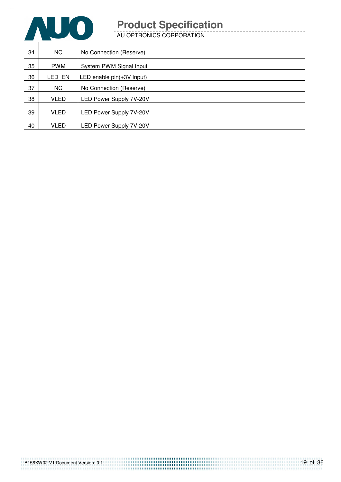

AU OPTRONICS CORPORATION

| 34 | <b>NC</b>   | No Connection (Reserve)     |
|----|-------------|-----------------------------|
| 35 | <b>PWM</b>  | System PWM Signal Input     |
| 36 | LED EN      | LED enable $pin(+3V$ Input) |
| 37 | NC.         | No Connection (Reserve)     |
| 38 | <b>VLED</b> | LED Power Supply 7V-20V     |
| 39 | <b>VLED</b> | LED Power Supply 7V-20V     |
| 40 | <b>VLED</b> | LED Power Supply 7V-20V     |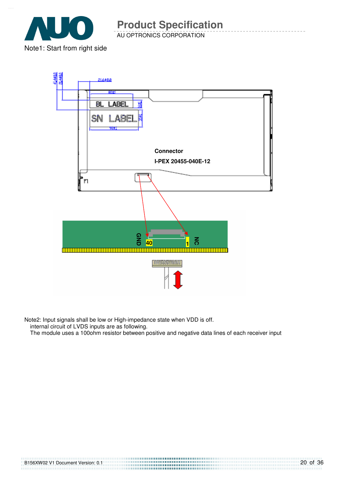

AU OPTRONICS CORPORATION **Product Specification** 



Note2: Input signals shall be low or High-impedance state when VDD is off.

internal circuit of LVDS inputs are as following.

The module uses a 100ohm resistor between positive and negative data lines of each receiver input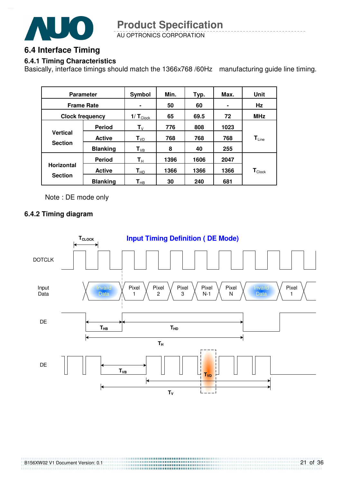

AU OPTRONICS CORPORATION **Product Specification** 

### **6.4 Interface Timing**

#### **6.4.1 Timing Characteristics**

Basically, interface timings should match the 1366x768 /60Hz manufacturing guide line timing.

| <b>Parameter</b>                    |                 | Symbol                  | Min. | Typ. | Max. | Unit                         |
|-------------------------------------|-----------------|-------------------------|------|------|------|------------------------------|
| <b>Frame Rate</b>                   |                 | ٠                       | 50   | 60   |      | Hz                           |
| <b>Clock frequency</b>              |                 | $1/T_{\text{Clock}}$    | 65   | 69.5 | 72   | <b>MHz</b>                   |
| <b>Vertical</b><br><b>Section</b>   | <b>Period</b>   | $T_{V}$                 | 776  | 808  | 1023 |                              |
|                                     | <b>Active</b>   | $T_{VD}$                | 768  | 768  | 768  | $\mathbf{T}_{\mathsf{Line}}$ |
|                                     | <b>Blanking</b> | $T_{VB}$                | 8    | 40   | 255  |                              |
|                                     | <b>Period</b>   | $\mathsf{T}_\mathsf{H}$ | 1396 | 1606 | 2047 |                              |
| <b>Horizontal</b><br><b>Section</b> | <b>Active</b>   | $T_{HD}$                | 1366 | 1366 | 1366 | $\mathbf{T}_{\text{Clock}}$  |
|                                     | <b>Blanking</b> | $\textsf{T}_{\sf HB}$   | 30   | 240  | 681  |                              |

Note : DE mode only

#### **6.4.2 Timing diagram**

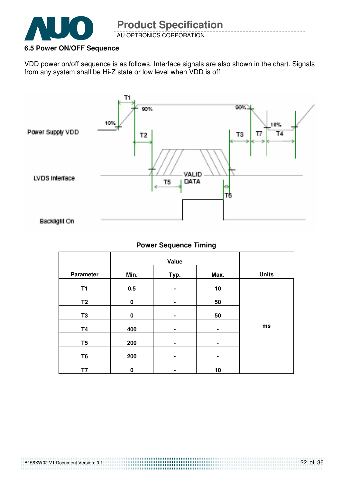

### **6.5 Power ON/OFF Sequence**

VDD power on/off sequence is as follows. Interface signals are also shown in the chart. Signals from any system shall be Hi-Z state or low level when VDD is off



#### **Power Sequence Timing**

| Parameter      | Min.     | Typ. | Max. | <b>Units</b> |
|----------------|----------|------|------|--------------|
| <b>T1</b>      | 0.5      | ۰    | 10   |              |
| T <sub>2</sub> | $\bf{0}$ | ۰    | 50   |              |
| T <sub>3</sub> | $\bf{0}$ | ۰    | 50   |              |
| <b>T4</b>      | 400      | ۰    | ٠    | ms           |
| T <sub>5</sub> | 200      | ۰    | ۰    |              |
| T <sub>6</sub> | 200      | ۰    | ٠    |              |
| T7             | $\bf{0}$ | ۰    | 10   |              |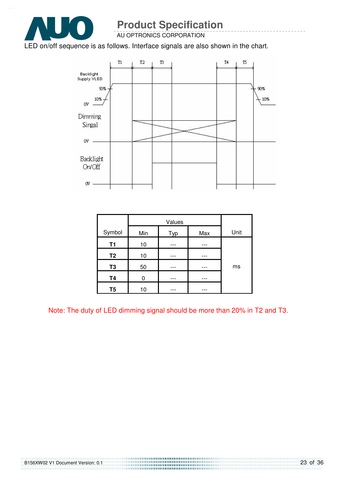

AU OPTRONICS CORPORATION

#### LED on/off sequence is as follows. Interface signals are also shown in the chart.



| Symbol         | Min | Typ | Max | Unit |
|----------------|-----|-----|-----|------|
| T1             | 10  |     |     |      |
| T <sub>2</sub> | 10  |     |     |      |
| T <sub>3</sub> | 50  |     |     | ms   |
| <b>T4</b>      | በ   |     |     |      |
| T5             | 10  |     |     |      |

Note: The duty of LED dimming signal should be more than 20% in T2 and T3.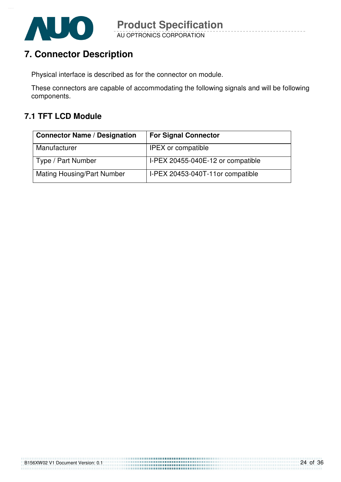

# **7. Connector Description**

Physical interface is described as for the connector on module.

These connectors are capable of accommodating the following signals and will be following components.

### **7.1 TFT LCD Module**

| <b>Connector Name / Designation</b> | <b>For Signal Connector</b>       |
|-------------------------------------|-----------------------------------|
| Manufacturer                        | <b>IPEX</b> or compatible         |
| Type / Part Number                  | I-PEX 20455-040E-12 or compatible |
| <b>Mating Housing/Part Number</b>   | I-PEX 20453-040T-11or compatible  |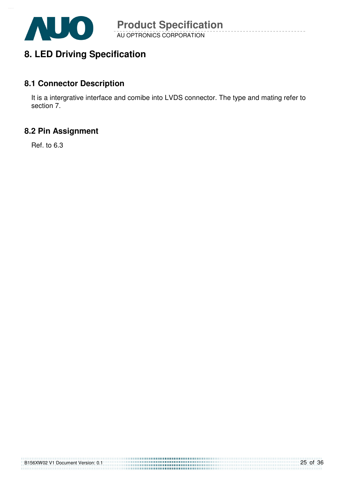

# **8. LED Driving Specification**

### **8.1 Connector Description**

It is a intergrative interface and comibe into LVDS connector. The type and mating refer to section 7.

### **8.2 Pin Assignment**

Ref. to 6.3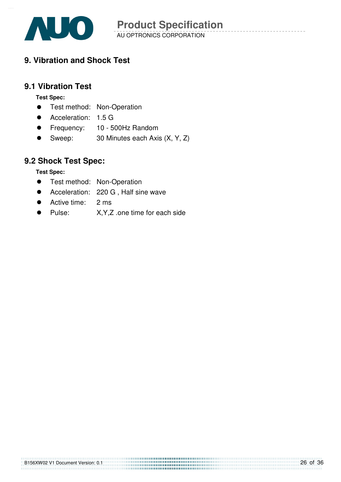

# **9. Vibration and Shock Test**

### **9.1 Vibration Test**

**Test Spec:** 

- **•** Test method: Non-Operation
- Acceleration: 1.5 G
- **•** Frequency: 10 500Hz Random
- Sweep: 30 Minutes each Axis (X, Y, Z)

### **9.2 Shock Test Spec:**

**Test Spec:** 

- **•** Test method: Non-Operation
- Acceleration: 220 G . Half sine wave
- Active time: 2 ms
- Pulse: X,Y,Z .one time for each side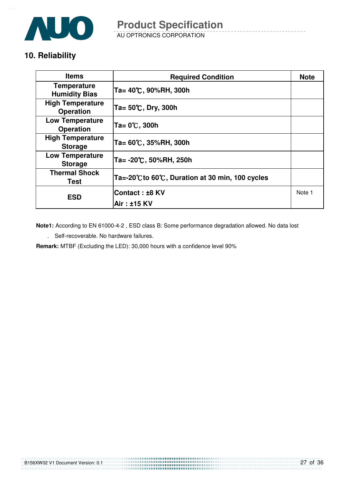

AU OPTRONICS CORPORATION

# **10. Reliability**

| <b>Items</b>                                | <b>Required Condition</b>                     | <b>Note</b> |
|---------------------------------------------|-----------------------------------------------|-------------|
| <b>Temperature</b><br><b>Humidity Bias</b>  | Ta= 40℃, 90%RH, 300h                          |             |
| <b>High Temperature</b><br><b>Operation</b> | Ta= 50℃, Dry, 300h                            |             |
| <b>Low Temperature</b><br><b>Operation</b>  | Ta= 0℃, 300h                                  |             |
| <b>High Temperature</b><br><b>Storage</b>   | Ta= 60℃, 35%RH, 300h                          |             |
| <b>Low Temperature</b><br><b>Storage</b>    | Ta= -20℃, 50%RH, 250h                         |             |
| <b>Thermal Shock</b><br>Test                | Ta=-20℃to 60℃, Duration at 30 min, 100 cycles |             |
| <b>ESD</b>                                  | ∣Contact : ±8 KV                              | Note 1      |
|                                             | Air : ±15 KV                                  |             |

**Note1:** According to EN 61000-4-2 , ESD class B: Some performance degradation allowed. No data lost

. Self-recoverable. No hardware failures.

**Remark:** MTBF (Excluding the LED): 30,000 hours with a confidence level 90%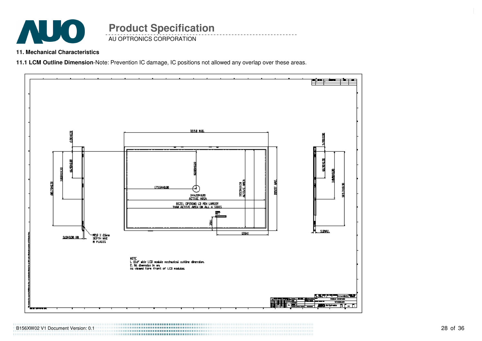

### AU OPTRONICS CORPORATION **Product Specification**

**11. Mechanical Characteristics** 

**11.1 LCM Outline Dimension**-Note: Prevention IC damage, IC positions not allowed any overlap over these areas.



B156XW02 V1 Document Version: 0.1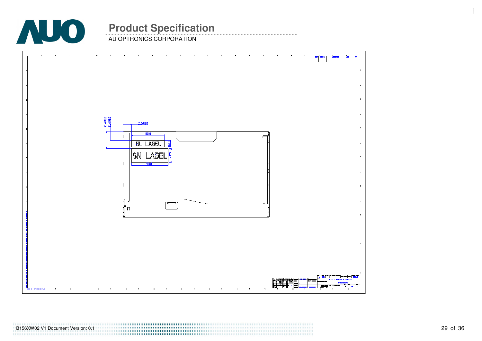

AU OPTRONICS CORPORATION

|                              | <mark>█▞▅▖▏▟▄▖</mark> ▗▅                                                                                       |
|------------------------------|----------------------------------------------------------------------------------------------------------------|
|                              |                                                                                                                |
|                              |                                                                                                                |
|                              |                                                                                                                |
|                              |                                                                                                                |
|                              |                                                                                                                |
|                              |                                                                                                                |
|                              |                                                                                                                |
|                              |                                                                                                                |
|                              |                                                                                                                |
|                              |                                                                                                                |
| 414180<br>214180<br>21,6±8.0 |                                                                                                                |
|                              |                                                                                                                |
| B0 <sub>1</sub>              |                                                                                                                |
| E<br>BL LABEL                |                                                                                                                |
|                              |                                                                                                                |
| SN LABEL                     |                                                                                                                |
|                              |                                                                                                                |
| 班町                           |                                                                                                                |
|                              |                                                                                                                |
|                              |                                                                                                                |
|                              |                                                                                                                |
|                              |                                                                                                                |
|                              |                                                                                                                |
| $\Box$                       |                                                                                                                |
| ∦n                           |                                                                                                                |
|                              |                                                                                                                |
|                              |                                                                                                                |
|                              |                                                                                                                |
|                              |                                                                                                                |
|                              |                                                                                                                |
|                              |                                                                                                                |
|                              |                                                                                                                |
|                              |                                                                                                                |
|                              |                                                                                                                |
|                              |                                                                                                                |
|                              | <b>E TON E THE TERM 2 REWNS</b>                                                                                |
|                              | ░▓ <del>▓▜▚▜▜<u>▓</u>▟▆▎▀▝<br/>▐░▙▐▊▐▏▌▛▀</del><br>▛▟▕▝▝▙▐▙▏▘ <mark>▞▀</mark> ▐ <sub>▀▀</sub><br>F<br>37503506 |
| ்டி                          | <b>ALD</b> all province and a part of<br>╾                                                                     |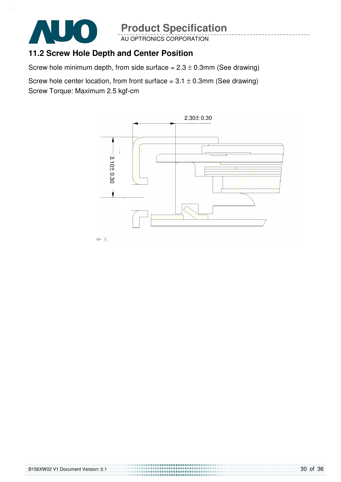

AU OPTRONICS CORPORATION

### **11.2 Screw Hole Depth and Center Position**

Screw hole minimum depth, from side surface =  $2.3 \pm 0.3$ mm (See drawing)

Screw hole center location, from front surface =  $3.1 \pm 0.3$ mm (See drawing) Screw Torque: Maximum 2.5 kgf-cm

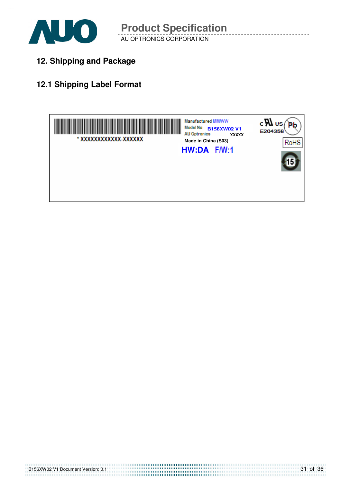

**12. Shipping and Package**

# **12.1 Shipping Label Format**

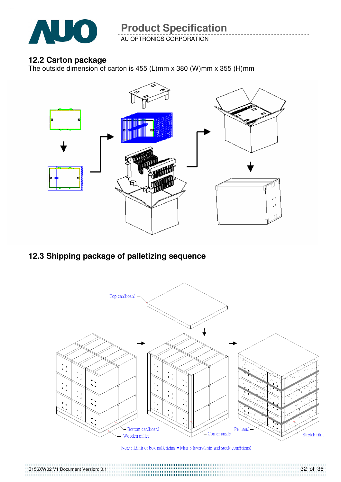

AU OPTRONICS CORPORATION

### **12.2 Carton package**

B156XW02 V1 Document Version: 0.1

The outside dimension of carton is 455 (L)mm x 380 (W)mm x 355 (H)mm



# **12.3 Shipping package of palletizing sequence**



Note: Limit of box palletizing = Max 3 layers(ship and stock conditions)

32 of 36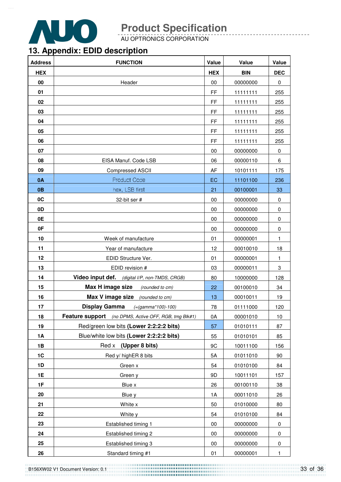

AU OPTRONICS CORPORATION

# **13. Appendix: EDID description**

| <b>Address</b> | <b>FUNCTION</b>                                       | Value      | Value      | Value        |
|----------------|-------------------------------------------------------|------------|------------|--------------|
| <b>HEX</b>     |                                                       | <b>HEX</b> | <b>BIN</b> | <b>DEC</b>   |
| 00             | Header                                                | 00         | 00000000   | 0            |
| 01             |                                                       | <b>FF</b>  | 11111111   | 255          |
| 02             |                                                       | <b>FF</b>  | 11111111   | 255          |
| 03             |                                                       | <b>FF</b>  | 11111111   | 255          |
| 04             |                                                       | <b>FF</b>  | 11111111   | 255          |
| 05             |                                                       | FF         | 11111111   | 255          |
| 06             |                                                       | <b>FF</b>  | 11111111   | 255          |
| 07             |                                                       | 00         | 00000000   | 0            |
| 08             | EISA Manuf. Code LSB                                  | 06         | 00000110   | 6            |
| 09             | <b>Compressed ASCII</b>                               | AF         | 10101111   | 175          |
| 0A             | <b>Product Code</b>                                   | EC         | 11101100   | 236          |
| 0 <sub>B</sub> | hex, LSB first                                        | 21         | 00100001   | 33           |
| 0C             | 32-bit ser #                                          | 00         | 00000000   | 0            |
| 0D             |                                                       | 00         | 00000000   | 0            |
| 0E             |                                                       | 00         | 00000000   | 0            |
| 0F             |                                                       | 00         | 00000000   | 0            |
| 10             | Week of manufacture                                   | 01         | 00000001   | 1            |
| 11             | Year of manufacture                                   | 12         | 00010010   | 18           |
| 12             | EDID Structure Ver.                                   | 01         | 00000001   | $\mathbf{1}$ |
| 13             | EDID revision #                                       | 03         | 00000011   | 3            |
| 14             | Video input def. (digital I/P, non-TMDS, CRGB)        | 80         | 10000000   | 128          |
| 15             | Max H image size<br>(rounded to cm)                   | 22         | 00100010   | 34           |
| 16             | <b>Max V image size</b> (rounded to cm)               | 13         | 00010011   | 19           |
| 17             | <b>Display Gamma</b><br>$(=(gamma*100)-100)$          | 78         | 01111000   | 120          |
| 18             | Feature support (no DPMS, Active OFF, RGB, tmg Blk#1) | 0A         | 00001010   | 10           |
| 19             | Red/green low bits (Lower 2:2:2:2 bits)               | 57         | 01010111   | 87           |
| 1A             | Blue/white low bits (Lower 2:2:2:2 bits)              | 55         | 01010101   | 85           |
| 1B             | Red x (Upper 8 bits)                                  | 9C         | 10011100   | 156          |
| 1C             | Red y/ highER 8 bits                                  | 5A         | 01011010   | 90           |
| 1D             | Green x                                               | 54         | 01010100   | 84           |
| 1E             | Green y                                               | 9D         | 10011101   | 157          |
| 1F             | Blue x                                                | 26         | 00100110   | 38           |
| 20             | Blue y                                                | 1A         | 00011010   | 26           |
| 21             | White x                                               | 50         | 01010000   | 80           |
| 22             | White y                                               | 54         | 01010100   | 84           |
| 23             | Established timing 1                                  | 00         | 00000000   | 0            |
| 24             | Established timing 2                                  | 00         | 00000000   | 0            |
| 25             | Established timing 3                                  | 00         | 00000000   | 0            |
| 26             | Standard timing #1                                    | 01         | 00000001   | 1            |

B156XW02 V1 Document Version: 0.1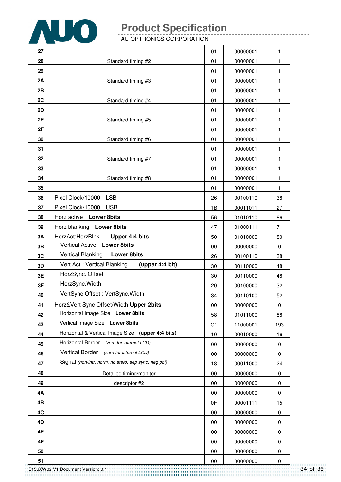

AU OPTRONICS CORPORATION

| 27 |                                                      | 01             | 00000001 | 1           |
|----|------------------------------------------------------|----------------|----------|-------------|
| 28 | Standard timing #2                                   | 01             | 00000001 | 1           |
| 29 |                                                      | 01             | 00000001 | 1           |
| 2A | Standard timing #3                                   | 01             | 00000001 | 1           |
| 2B |                                                      | 01             | 00000001 | 1           |
| 2C | Standard timing #4                                   | 01             | 00000001 | 1           |
| 2D |                                                      | 01             | 00000001 | 1           |
| 2E | Standard timing #5                                   | 01             | 00000001 | 1           |
| 2F |                                                      | 01             | 00000001 | 1           |
| 30 | Standard timing #6                                   | 01             | 00000001 | 1           |
| 31 |                                                      | 01             | 00000001 | 1           |
| 32 | Standard timing #7                                   | 01             | 00000001 | 1           |
| 33 |                                                      | 01             | 00000001 | 1           |
| 34 | Standard timing #8                                   | 01             | 00000001 | 1           |
| 35 |                                                      | 01             | 00000001 | 1           |
| 36 | Pixel Clock/10000<br><b>LSB</b>                      | 26             | 00100110 | 38          |
| 37 | Pixel Clock/10000<br><b>USB</b>                      | 1B             | 00011011 | 27          |
| 38 | Horz active Lower 8bits                              | 56             | 01010110 | 86          |
| 39 | Horz blanking Lower 8bits                            | 47             | 01000111 | 71          |
| 3A | HorzAct:HorzBlnk<br>Upper 4:4 bits                   | 50             | 01010000 | 80          |
| 3B | <b>Lower 8bits</b><br><b>Vertical Active</b>         | 00             | 00000000 | 0           |
| 3C | <b>Vertical Blanking</b><br><b>Lower 8bits</b>       | 26             | 00100110 | 38          |
| 3D | Vert Act: Vertical Blanking<br>(upper 4:4 bit)       | 30             | 00110000 | 48          |
| 3E | HorzSync. Offset                                     | 30             | 00110000 | 48          |
| 3F | HorzSync. Width                                      | 20             | 00100000 | 32          |
| 40 | VertSync.Offset: VertSync.Width                      | 34             | 00110100 | 52          |
| 41 | Horz‖ Sync Offset/Width Upper 2bits                  | $00\,$         | 00000000 | 0           |
| 42 | Horizontal Image Size Lower 8bits                    | 58             | 01011000 | 88          |
| 43 | Vertical Image Size Lower 8bits                      | C <sub>1</sub> | 11000001 | 193         |
| 44 | Horizontal & Vertical Image Size (upper 4:4 bits)    | 10             | 00010000 | 16          |
| 45 | <b>Horizontal Border</b><br>(zero for internal LCD)  | 00             | 00000000 | 0           |
| 46 | <b>Vertical Border</b><br>(zero for internal LCD)    | 00             | 00000000 | 0           |
| 47 | Signal (non-intr, norm, no stero, sep sync, neg pol) | 18             | 00011000 | 24          |
| 48 | Detailed timing/monitor                              | 00             | 00000000 | 0           |
| 49 | descriptor #2                                        | $00\,$         | 00000000 | 0           |
| 4Α |                                                      | 00             | 00000000 | 0           |
| 4B |                                                      | 0F             | 00001111 | 15          |
| 4C |                                                      | 00             | 00000000 | 0           |
| 4D |                                                      | 00             | 00000000 | $\mathbf 0$ |
| 4E |                                                      | 00             | 00000000 | 0           |
| 4F |                                                      | $00\,$         | 00000000 | 0           |
| 50 |                                                      | 00             | 00000000 | 0           |
| 51 |                                                      | 00             | 00000000 | 0           |

B156XW02 V1 Document Version: 0.1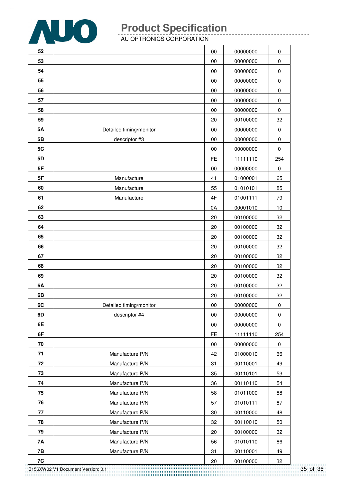

AU OPTRONICS CORPORATION

| 52        |                         | 00        | 00000000 | 0         |
|-----------|-------------------------|-----------|----------|-----------|
| 53        |                         | 00        | 00000000 | 0         |
| 54        |                         | 00        | 00000000 | 0         |
| 55        |                         | 00        | 00000000 | 0         |
| 56        |                         | 00        | 00000000 | 0         |
| 57        |                         | 00        | 00000000 | 0         |
| 58        |                         | 00        | 00000000 | 0         |
| 59        |                         | 20        | 00100000 | 32        |
| 5A        | Detailed timing/monitor | 00        | 00000000 | 0         |
| 5B        | descriptor #3           | 00        | 00000000 | $\pmb{0}$ |
| 5C        |                         | 00        | 00000000 | 0         |
| 5D        |                         | <b>FE</b> | 11111110 | 254       |
| 5E        |                         | 00        | 00000000 | $\pmb{0}$ |
| 5F        | Manufacture             | 41        | 01000001 | 65        |
| 60        | Manufacture             | 55        | 01010101 | 85        |
| 61        | Manufacture             | 4F        | 01001111 | 79        |
| 62        |                         | 0A        | 00001010 | 10        |
| 63        |                         | 20        | 00100000 | 32        |
| 64        |                         | 20        | 00100000 | 32        |
| 65        |                         | 20        | 00100000 | 32        |
| 66        |                         | 20        | 00100000 | 32        |
| 67        |                         | 20        | 00100000 | 32        |
| 68        |                         | 20        | 00100000 | 32        |
| 69        |                         | 20        | 00100000 | 32        |
| 6A        |                         | 20        | 00100000 | 32        |
| 6B        |                         | 20        | 00100000 | 32        |
| 6C        | Detailed timing/monitor | $00\,$    | 00000000 | 0         |
| 6D        | descriptor #4           | 00        | 00000000 | 0         |
| 6E        |                         | $00\,$    | 00000000 | 0         |
| 6F        |                         | <b>FE</b> | 11111110 | 254       |
| 70        |                         | 00        | 00000000 | $\pmb{0}$ |
| 71        | Manufacture P/N         | 42        | 01000010 | 66        |
| 72        | Manufacture P/N         | 31        | 00110001 | 49        |
| 73        | Manufacture P/N         | 35        | 00110101 | 53        |
| 74        | Manufacture P/N         | 36        | 00110110 | 54        |
| 75        | Manufacture P/N         | 58        | 01011000 | 88        |
| 76        | Manufacture P/N         | 57        | 01010111 | 87        |
| 77        | Manufacture P/N         | 30        | 00110000 | 48        |
| 78        | Manufacture P/N         | 32        | 00110010 | 50        |
| 79        | Manufacture P/N         | 20        | 00100000 | 32        |
| 7A        | Manufacture P/N         | 56        | 01010110 | 86        |
| <b>7B</b> | Manufacture P/N         | 31        | 00110001 | 49        |
| 7C        |                         | 20        | 00100000 | 32        |